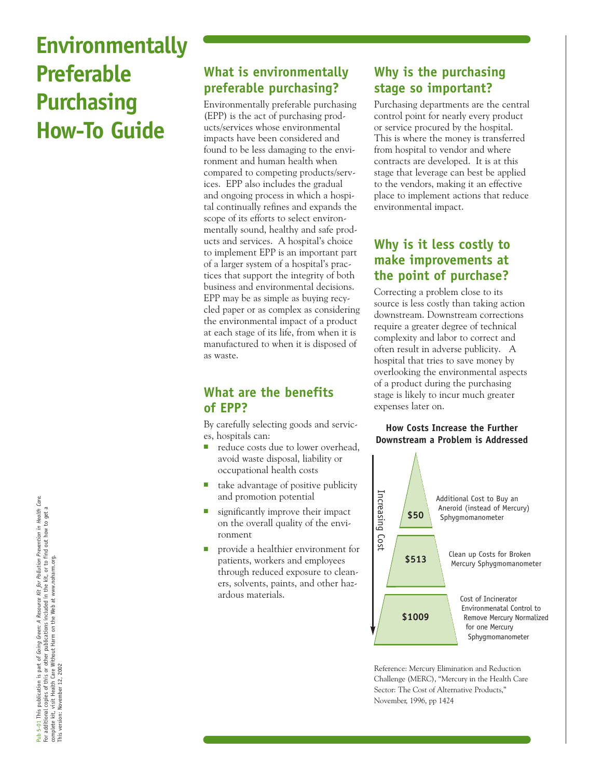# **Environmentally Preferable Purchasing How-To Guide**

# **What is environmentally preferable purchasing?**

Environmentally preferable purchasing (EPP) is the act of purchasing products/services whose environmental impacts have been considered and found to be less damaging to the environment and human health when compared to competing products/services. EPP also includes the gradual and ongoing process in which a hospital continually refines and expands the scope of its efforts to select environmentally sound, healthy and safe products and services. A hospital's choice to implement EPP is an important part of a larger system of a hospital's practices that support the integrity of both business and environmental decisions. EPP may be as simple as buying recycled paper or as complex as considering the environmental impact of a product at each stage of its life, from when it is manufactured to when it is disposed of as waste.

### **What are the benefits of EPP?**

By carefully selecting goods and services, hospitals can:

- reduce costs due to lower overhead, avoid waste disposal, liability or occupational health costs
- take advantage of positive publicity and promotion potential
- significantly improve their impact on the overall quality of the environment
- provide a healthier environment for patients, workers and employees through reduced exposure to cleaners, solvents, paints, and other hazardous materials.

## **Why is the purchasing stage so important?**

Purchasing departments are the central control point for nearly every product or service procured by the hospital. This is where the money is transferred from hospital to vendor and where contracts are developed. It is at this stage that leverage can best be applied to the vendors, making it an effective place to implement actions that reduce environmental impact.

#### **Why is it less costly to make improvements at the point of purchase?**

Correcting a problem close to its source is less costly than taking action downstream. Downstream corrections require a greater degree of technical complexity and labor to correct and often result in adverse publicity. A hospital that tries to save money by overlooking the environmental aspects of a product during the purchasing stage is likely to incur much greater expenses later on.

#### **How Costs Increase the Further Downstream a Problem is Addressed**



Reference: Mercury Elimination and Reduction Challenge (MERC), "Mercury in the Health Care Sector: The Cost of Alternative Products,"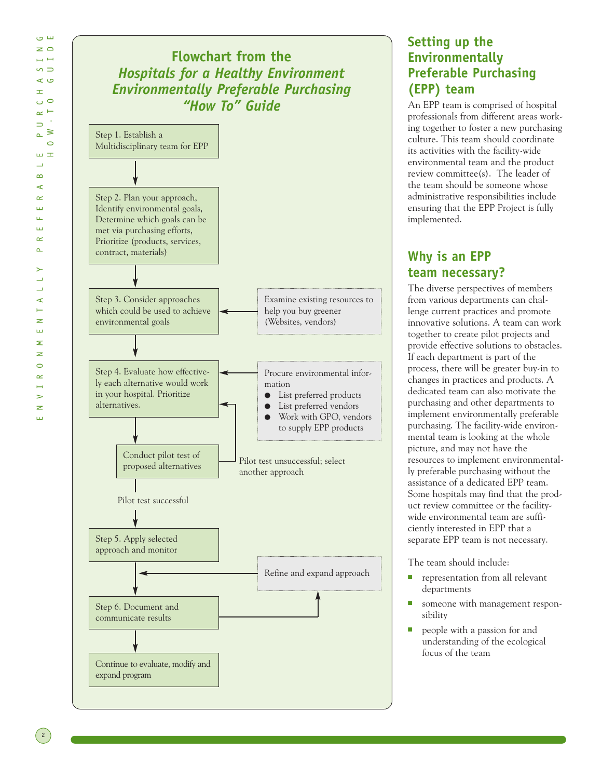

#### **Setting up the Environmentally Preferable Purchasing (EPP) team**

An EPP team is comprised of hospital professionals from different areas working together to foster a new purchasing culture. This team should coordinate its activities with the facility-wide environmental team and the product review committee(s). The leader of the team should be someone whose administrative responsibilities include ensuring that the EPP Project is fully implemented.

#### **Why is an EPP team necessary?**

The diverse perspectives of members from various departments can challenge current practices and promote innovative solutions. A team can work together to create pilot projects and provide effective solutions to obstacles. If each department is part of the process, there will be greater buy-in to changes in practices and products. A dedicated team can also motivate the purchasing and other departments to implement environmentally preferable purchasing. The facility-wide environmental team is looking at the whole picture, and may not have the resources to implement environmentally preferable purchasing without the assistance of a dedicated EPP team. Some hospitals may find that the product review committee or the facilitywide environmental team are sufficiently interested in EPP that a separate EPP team is not necessary.

The team should include:

- representation from all relevant departments
- someone with management responsibility
- people with a passion for and understanding of the ecological focus of the team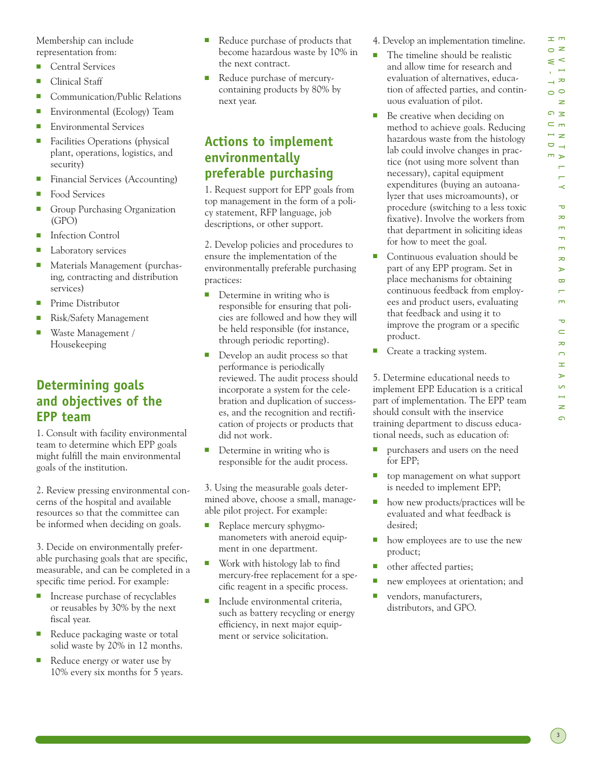工师 ENVIRONMENTALLY PREFERABLE PURCHASING  $\circ$  z  $\leq$   $\leq$  $\sum_{i=1}^{n}$  $\rightarrow \infty$  $\circ$  $\geq$  $\Omega$  $\subset$  m  $\overline{z}$  $\Box$  $m \geq$  $\overline{a}$  $\overline{a}$  $\prec$  $\overline{a}$  $\overline{z}$  $\overline{m}$  $\rightarrow$  $\overline{m}$  $\infty$  $\rightarrow$  $\infty$  $\overline{a}$  $\blacksquare$  $\overline{\mathbf{v}}$  $\subset$  $\overline{\mathbf{z}}$  $\Omega$  $\pm$ Ъ  $\overline{a}$  $\mapsto$ z  $\Omega$ 

HOW-TO GUIDE

Membership can include representation from:

- Central Services
- Clinical Staff
- Communication/Public Relations
- Environmental (Ecology) Team
- Environmental Services
- Facilities Operations (physical plant, operations, logistics, and security)
- Financial Services (Accounting)
- Food Services
- Group Purchasing Organization (GPO)
- Infection Control
- Laboratory services
- Materials Management (purchasing, contracting and distribution services)
- Prime Distributor
- Risk/Safety Management
- Waste Management / Housekeeping

#### **Determining goals and objectives of the EPP team**

1. Consult with facility environmental team to determine which EPP goals might fulfill the main environmental goals of the institution.

2. Review pressing environmental concerns of the hospital and available resources so that the committee can be informed when deciding on goals.

3. Decide on environmentally preferable purchasing goals that are specific, measurable, and can be completed in a specific time period. For example:

- Increase purchase of recyclables or reusables by 30% by the next fiscal year.
- Reduce packaging waste or total solid waste by 20% in 12 months.
- Reduce energy or water use by 10% every six months for 5 years.
- Reduce purchase of products that become hazardous waste by 10% in the next contract.
- Reduce purchase of mercurycontaining products by 80% by next year.

#### **Actions to implement environmentally preferable purchasing**

1. Request support for EPP goals from top management in the form of a policy statement, RFP language, job descriptions, or other support.

2. Develop policies and procedures to ensure the implementation of the environmentally preferable purchasing practices:

- Determine in writing who is responsible for ensuring that policies are followed and how they will be held responsible (for instance, through periodic reporting).
- Develop an audit process so that performance is periodically reviewed. The audit process should incorporate a system for the celebration and duplication of successes, and the recognition and rectification of projects or products that did not work.
- Determine in writing who is responsible for the audit process.

3. Using the measurable goals determined above, choose a small, manageable pilot project. For example:

- Replace mercury sphygmomanometers with aneroid equipment in one department.
- Work with histology lab to find mercury-free replacement for a specific reagent in a specific process.
- Include environmental criteria, such as battery recycling or energy efficiency, in next major equipment or service solicitation.

4. Develop an implementation timeline.

- The timeline should be realistic and allow time for research and evaluation of alternatives, education of affected parties, and continuous evaluation of pilot.
- Be creative when deciding on method to achieve goals. Reducing hazardous waste from the histology lab could involve changes in practice (not using more solvent than necessary), capital equipment expenditures (buying an autoanalyzer that uses microamounts), or procedure (switching to a less toxic fixative). Involve the workers from that department in soliciting ideas for how to meet the goal.
- Continuous evaluation should be part of any EPP program. Set in place mechanisms for obtaining continuous feedback from employees and product users, evaluating that feedback and using it to improve the program or a specific product.
- Create a tracking system.

5. Determine educational needs to implement EPP. Education is a critical part of implementation. The EPP team should consult with the inservice training department to discuss educational needs, such as education of:

- purchasers and users on the need for EPP;
- top management on what support is needed to implement EPP;
- how new products/practices will be evaluated and what feedback is desired;
- how employees are to use the new product;
- other affected parties;
- new employees at orientation; and
- vendors, manufacturers, distributors, and GPO.